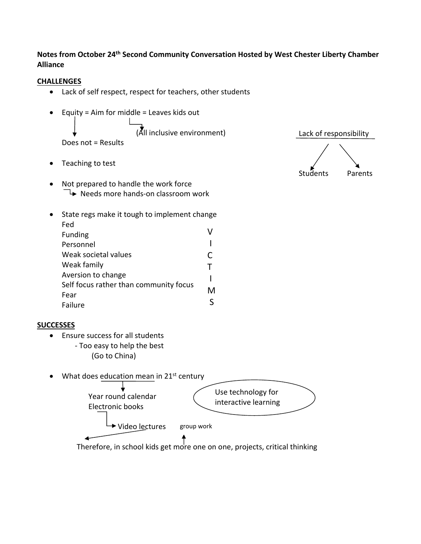**Notes from October 24th Second Community Conversation Hosted by West Chester Liberty Chamber Alliance**

## **CHALLENGES**

- Lack of self respect, respect for teachers, other students
- Equity = Aim for middle = Leaves kids out **Contract Contract Contract** (All inclusive environment)

Does not = Results

- Teaching to test
- Not prepared to handle the work force  $\Box$  Needs more hands-on classroom work
- State regs make it tough to implement change Fed Funding Personnel Weak societal values Weak family Aversion to change Self focus rather than community focus Fear Failure V I C T I M S

## Students Parents

Lack of responsibility

## **SUCCESSES**

- Ensure success for all students
	- ‐ Too easy to help the best (Go to China)
- $\bullet$  What does education mean in 21st century



Therefore, in school kids get more one on one, projects, critical thinking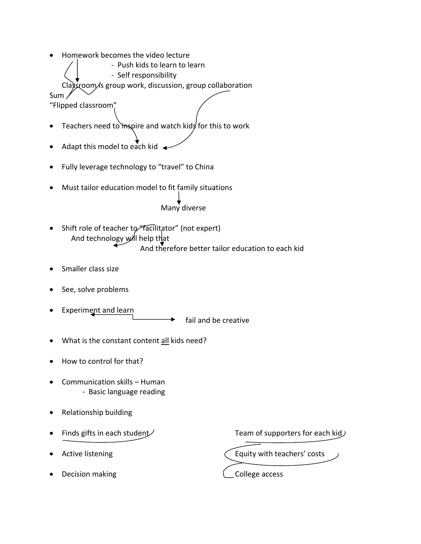Homework becomes the video lecture

 ‐ Push kids to learn to learn ‐ Self responsibility Classroom is group work, discussion, group collaboration Sum

"Flipped classroom"

- Teachers need to inspire and watch kids for this to work
- Adapt this model to each kid  $\triangleleft$
- Fully leverage technology to "travel" to China
- Must tailor education model to fit family situations

Many diverse

- Shift role of teacher to "facilitator" (not expert) And technology will help that And therefore better tailor education to each kid
- Smaller class size
- See, solve problems
- Experiment and learn

fail and be creative

- What is the constant content all kids need?
- How to control for that?
- Communication skills Human ‐ Basic language reading
- Relationship building
- 
- 
- Decision making  $\Box$  College access

Finds gifts in each student  $\angle$  Team of supporters for each kid  $\angle$ 

Active listening  $\bigcap$  Equity with teachers' costs